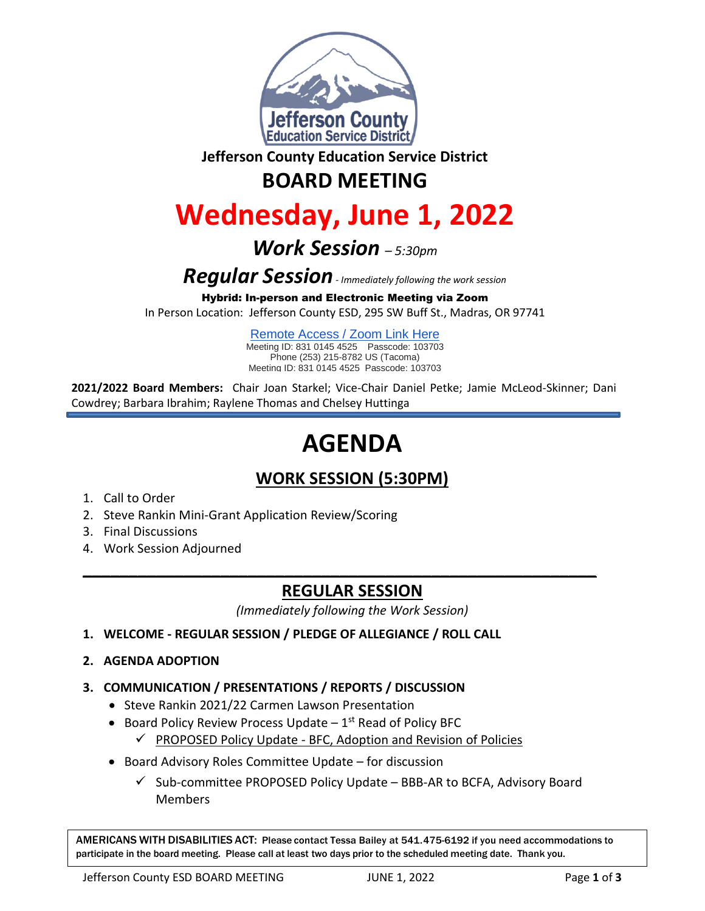

**Jefferson County Education Service District**

## **BOARD MEETING**

# **Wednesday, June 1, 2022**

## *Work Session – 5:30pm*

*Regular Session- Immediately following the work session*

Hybrid: In-person and Electronic Meeting via Zoom

In Person Location: Jefferson County ESD, 295 SW Buff St., Madras, OR 97741

[Remote Access / Zoom Link Here](https://us02web.zoom.us/j/83101454525?pwd=WVJtSVIyY3lkbG1SV0FCSlRMWlNzZz09) Meeting ID: 831 0145 4525 Passcode: 103703 Phone (253) 215-8782 US (Tacoma) Meeting ID: 831 0145 4525 Passcode: 103703

**2021/2022 Board Members:** Chair Joan Starkel; Vice-Chair Daniel Petke; Jamie McLeod-Skinner; Dani Cowdrey; Barbara Ibrahim; Raylene Thomas and Chelsey Huttinga

# **AGENDA**

### **WORK SESSION (5:30PM)**

- 1. Call to Order
- 2. Steve Rankin Mini-Grant Application Review/Scoring
- 3. Final Discussions
- 4. Work Session Adjourned

### **REGULAR SESSION**

**\_\_\_\_\_\_\_\_\_\_\_\_\_\_\_\_\_\_\_\_\_\_\_\_\_\_\_\_\_\_\_\_\_\_\_\_\_\_\_\_\_\_\_\_\_\_\_\_\_\_\_\_\_\_\_\_**

*(Immediately following the Work Session)*

- **1. WELCOME - REGULAR SESSION / PLEDGE OF ALLEGIANCE / ROLL CALL**
- **2. AGENDA ADOPTION**
- **3. COMMUNICATION / PRESENTATIONS / REPORTS / DISCUSSION**
	- Steve Rankin 2021/22 Carmen Lawson Presentation
	- Board Policy Review Process Update  $-1^{st}$  Read of Policy BFC
		- $\checkmark$  PROPOSED Policy Update [BFC, Adoption and Revision of Policies](https://drive.google.com/drive/u/0/folders/1ss8Ue5mPsZr6hFz7SGnJbVSAv7lNQQ3d)
	- Board Advisory Roles Committee Update for discussion
		- $\checkmark$  Sub-committee PROPOSED Policy Update BBB-AR to BCFA, Advisory Board **Members**

AMERICANS WITH DISABILITIES ACT: Please contact Tessa Bailey at 541.475-6192 if you need accommodations to participate in the board meeting. Please call at least two days prior to the scheduled meeting date. Thank you.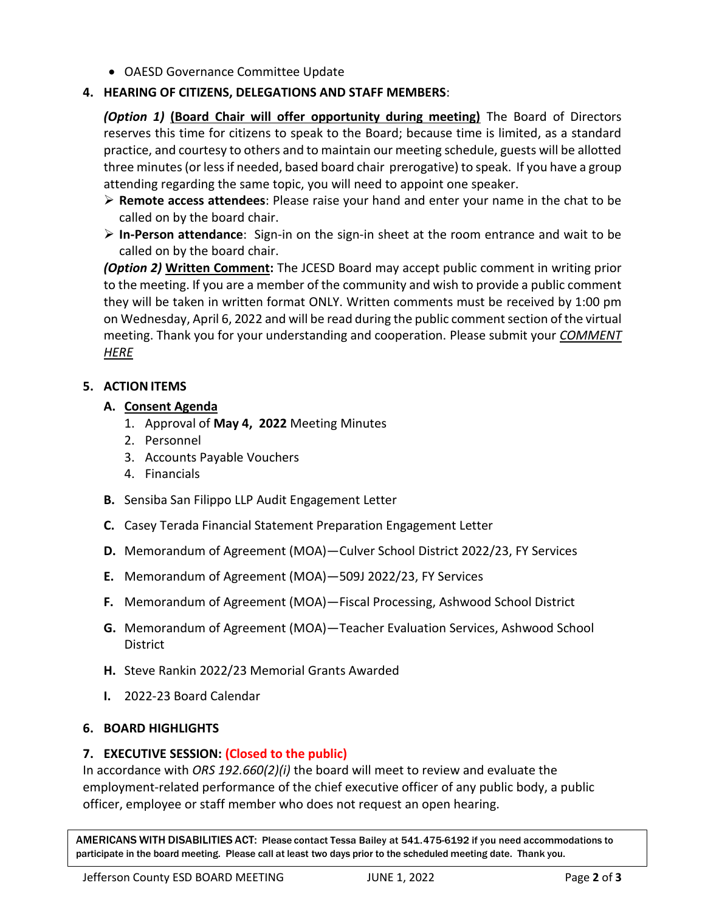OAESD Governance Committee Update

#### **4. HEARING OF CITIZENS, DELEGATIONS AND STAFF MEMBERS**:

*(Option 1)* **(Board Chair will offer opportunity during meeting)** The Board of Directors reserves this time for citizens to speak to the Board; because time is limited, as a standard practice, and courtesy to others and to maintain our meeting schedule, guests will be allotted three minutes (or less if needed, based board chair prerogative) to speak. If you have a group attending regarding the same topic, you will need to appoint one speaker.

- **Remote access attendees**: Please raise your hand and enter your name in the chat to be called on by the board chair.
- **In-Person attendance**: Sign-in on the sign-in sheet at the room entrance and wait to be called on by the board chair.

*(Option 2)* **Written Comment:** The JCESD Board may accept public comment in writing prior to the meeting. If you are a member of the community and wish to provide a public comment they will be taken in written format ONLY. Written comments must be received by 1:00 pm on Wednesday, April 6, 2022 and will be read during the public comment section of the virtual meeting. Thank you for your understanding and cooperation. Please submit your *[COMMENT](https://jcesd.k12.or.us/meeting-public-comment)  [HERE](https://jcesd.k12.or.us/meeting-public-comment)*

#### **5. ACTION ITEMS**

#### **A. Consent Agenda**

- 1. Approval of **May 4, 2022** Meeting Minutes
- 2. Personnel
- 3. Accounts Payable Vouchers
- 4. Financials
- **B.** Sensiba San Filippo LLP Audit Engagement Letter
- **C.** Casey Terada Financial Statement Preparation Engagement Letter
- **D.** Memorandum of Agreement (MOA)—Culver School District 2022/23, FY Services
- **E.** Memorandum of Agreement (MOA)—509J 2022/23, FY Services
- **F.** Memorandum of Agreement (MOA)—Fiscal Processing, Ashwood School District
- **G.** Memorandum of Agreement (MOA)—Teacher Evaluation Services, Ashwood School **District**
- **H.** Steve Rankin 2022/23 Memorial Grants Awarded
- **I.** 2022-23 Board Calendar

#### **6. BOARD HIGHLIGHTS**

#### **7. EXECUTIVE SESSION: (Closed to the public)**

In accordance with *ORS 192.660(2)(i)* the board will meet to review and evaluate the employment-related performance of the chief executive officer of any public body, a public officer, employee or staff member who does not request an open hearing.

AMERICANS WITH DISABILITIES ACT: Please contact Tessa Bailey at 541.475-6192 if you need accommodations to participate in the board meeting. Please call at least two days prior to the scheduled meeting date. Thank you.